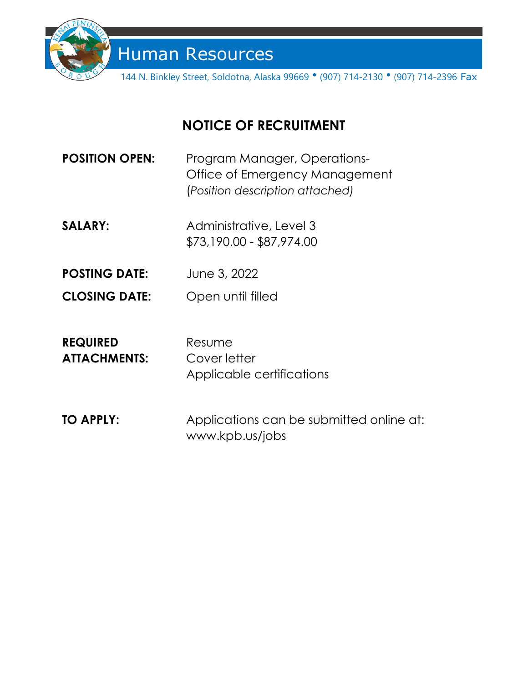

Human Resources

144 N. Binkley Street, Soldotna, Alaska 99669 • (907) 714-2130 • (907) 714-2396 Fax

# **NOTICE OF RECRUITMENT**

| <b>POSITION OPEN:</b> | Program Manager, Operations-    |
|-----------------------|---------------------------------|
|                       | Office of Emergency Management  |
|                       | (Position description attached) |

- **SALARY:** Administrative, Level 3 \$73,190.00 - \$87,974.00
- **POSTING DATE:** June 3, 2022
- **CLOSING DATE:** Open until filled

| <b>REQUIRED</b>     | Resume                    |
|---------------------|---------------------------|
| <b>ATTACHMENTS:</b> | Cover letter              |
|                     | Applicable certifications |

**TO APPLY:** Applications can be submitted online at: www.kpb.us/jobs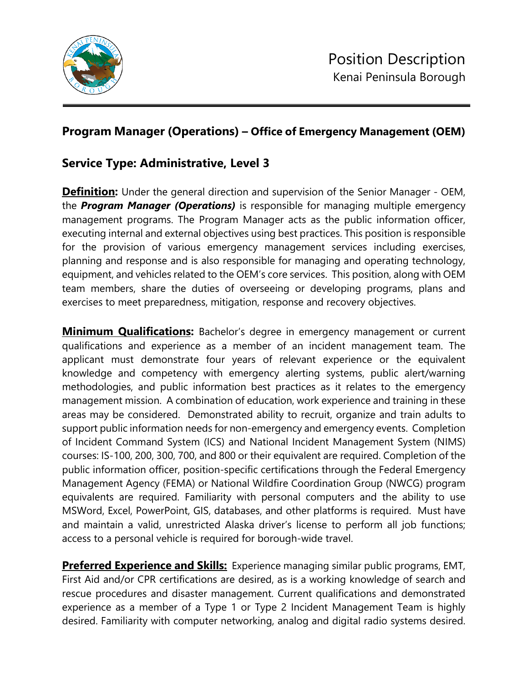

## **Program Manager (Operations) – Office of Emergency Management (OEM)**

### **Service Type: Administrative, Level 3**

**Definition:** Under the general direction and supervision of the Senior Manager - OEM, the *Program Manager (Operations)* is responsible for managing multiple emergency management programs. The Program Manager acts as the public information officer, executing internal and external objectives using best practices. This position is responsible for the provision of various emergency management services including exercises, planning and response and is also responsible for managing and operating technology, equipment, and vehicles related to the OEM's core services. This position, along with OEM team members, share the duties of overseeing or developing programs, plans and exercises to meet preparedness, mitigation, response and recovery objectives.

**Minimum Qualifications:** Bachelor's degree in emergency management or current qualifications and experience as a member of an incident management team. The applicant must demonstrate four years of relevant experience or the equivalent knowledge and competency with emergency alerting systems, public alert/warning methodologies, and public information best practices as it relates to the emergency management mission. A combination of education, work experience and training in these areas may be considered. Demonstrated ability to recruit, organize and train adults to support public information needs for non-emergency and emergency events. Completion of Incident Command System (ICS) and National Incident Management System (NIMS) courses: IS-100, 200, 300, 700, and 800 or their equivalent are required. Completion of the public information officer, position-specific certifications through the Federal Emergency Management Agency (FEMA) or National Wildfire Coordination Group (NWCG) program equivalents are required. Familiarity with personal computers and the ability to use MSWord, Excel, PowerPoint, GIS, databases, and other platforms is required. Must have and maintain a valid, unrestricted Alaska driver's license to perform all job functions; access to a personal vehicle is required for borough-wide travel.

**Preferred Experience and Skills:** Experience managing similar public programs, EMT, First Aid and/or CPR certifications are desired, as is a working knowledge of search and rescue procedures and disaster management. Current qualifications and demonstrated experience as a member of a Type 1 or Type 2 Incident Management Team is highly desired. Familiarity with computer networking, analog and digital radio systems desired.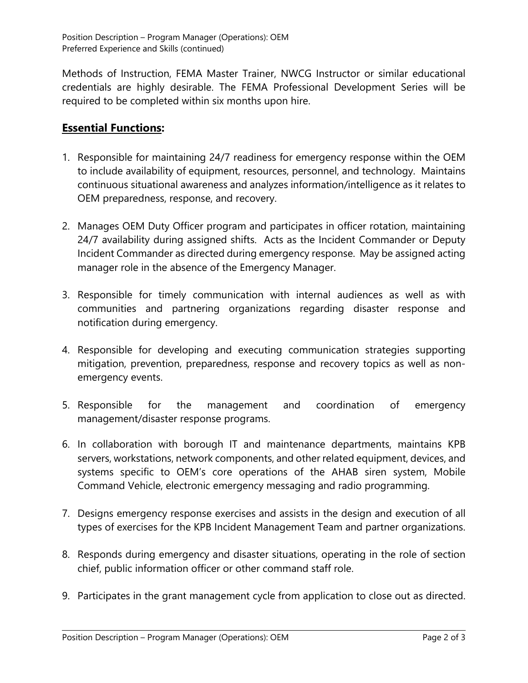Methods of Instruction, FEMA Master Trainer, NWCG Instructor or similar educational credentials are highly desirable. The FEMA Professional Development Series will be required to be completed within six months upon hire.

### **Essential Functions:**

- 1. Responsible for maintaining 24/7 readiness for emergency response within the OEM to include availability of equipment, resources, personnel, and technology. Maintains continuous situational awareness and analyzes information/intelligence as it relates to OEM preparedness, response, and recovery.
- 2. Manages OEM Duty Officer program and participates in officer rotation, maintaining 24/7 availability during assigned shifts. Acts as the Incident Commander or Deputy Incident Commander as directed during emergency response. May be assigned acting manager role in the absence of the Emergency Manager.
- 3. Responsible for timely communication with internal audiences as well as with communities and partnering organizations regarding disaster response and notification during emergency.
- 4. Responsible for developing and executing communication strategies supporting mitigation, prevention, preparedness, response and recovery topics as well as nonemergency events.
- 5. Responsible for the management and coordination of emergency management/disaster response programs.
- 6. In collaboration with borough IT and maintenance departments, maintains KPB servers, workstations, network components, and other related equipment, devices, and systems specific to OEM's core operations of the AHAB siren system, Mobile Command Vehicle, electronic emergency messaging and radio programming.
- 7. Designs emergency response exercises and assists in the design and execution of all types of exercises for the KPB Incident Management Team and partner organizations.
- 8. Responds during emergency and disaster situations, operating in the role of section chief, public information officer or other command staff role.
- 9. Participates in the grant management cycle from application to close out as directed.